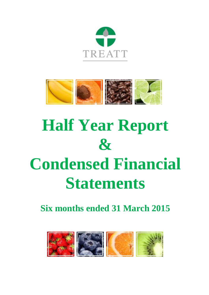



# **Half Year Report & Condensed Financial Statements**

**Six months ended 31 March 2015**

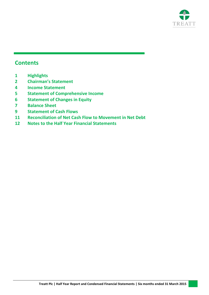

## **Contents**

- **Highlights**
- **Chairman's Statement**
- **Income Statement**
- **Statement of Comprehensive Income**
- **Statement of Changes in Equity**
- **Balance Sheet**
- **Statement of Cash Flows**
- **Reconciliation of Net Cash Flow to Movement in Net Debt**
- **Notes to the Half Year Financial Statements**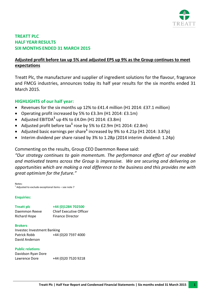

## **TREATT PLC HALF YEAR RESULTS SIX MONTHS ENDED 31 MARCH 2015**

## **Adjusted profit before tax up 5% and adjusted EPS up 9% as the Group continues to meet expectations**

Treatt Plc, the manufacturer and supplier of ingredient solutions for the flavour, fragrance and FMCG industries, announces today its half year results for the six months ended 31 March 2015.

## <span id="page-2-0"></span>**HIGHLIGHTS of our half year:**

- Revenues for the six months up 12% to £41.4 million (H1 2014: £37.1 million)
- Operating profit increased by 5% to £3.3m (H1 2014: £3.1m)
- Adjusted EBITDA**<sup>1</sup>** up 4% to £4.0m (H1 2014: £3.8m)
- Adjusted profit before tax**<sup>1</sup>** rose by 5% to £2.9m (H1 2014: £2.8m)
- Adjusted basic earnings per share**<sup>1</sup>** increased by 9% to 4.21p (H1 2014: 3.87p)
- Interim dividend per share raised by 3% to 1.28p (2014 interim dividend: 1.24p)

Commenting on the results, Group CEO Daemmon Reeve said:

*"Our strategy continues to gain momentum. The performance and effort of our enabled and motivated teams across the Group is impressive. We are securing and delivering on opportunities which are making a real difference to the business and this provides me with great optimism for the future."*

Notes:  $1$  Adjusted to exclude exceptional items – see not[e 7](#page-14-0)

## **Enquiries:**

## **Treatt plc +44 (0)1284 702500**

Daemmon Reeve Chief Executive Officer Richard Hope Finance Director

## **Brokers**

Investec Investment Banking Patrick Robb +44 (0)20 7597 4000 David Anderson

## **Public relations**

Davidson Ryan Dore Lawrence Dore +44 (0)20 7520 9218

**Treatt Plc | Half Year Report and Condensed Financial Statements | Six months ended 31 March 2015 1**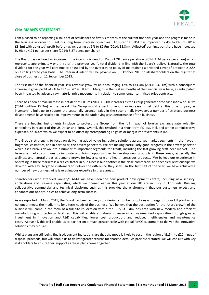

#### <span id="page-3-0"></span>**CHAIRMAN'S STATEMENT**

I am pleased to be reporting a solid set of results for the first six months of the current financial year and the progress made in the business in order to meet our long term strategic objectives. Adjusted<sup>1</sup> EBITDA has improved by 4% to £4.0m (2014: £3.8m) with adjusted<sup>1</sup> profit before tax increasing by 5% to £2.9m (2014: £2.8m). Adjusted<sup>1</sup> earnings per share have increased by 9% to 4.21 pence per share (2014: 3.87 pence per share).

The Board has declared an increase in the interim dividend of 3% to 1.28 pence per share (2014: 1.24 pence per share) which represents approximately one third of the previous year's total dividend in line with the Board's policy. Naturally, the total dividend for the year will continue to be guided by the overarching policy of maintaining a dividend cover of between 2-2.5X on a rolling three year basis. The interim dividend will be payable on 16 October 2015 to all shareholders on the register at close of business on 11 September 2015.

The first half of the financial year saw revenue grow by an encouraging 12% to £41.4m (2014: £37.1m) with a consequent increase in gross profit of 9% to £9.1m (2014: £8.4m). Margins in the first six months of the financial year have, as anticipated, been impacted by adverse raw material price movements in relation to some longer term fixed price contracts.

There has been a small increase in net debt of £0.3m (2014: £3.1m increase) as the Group generated free cash inflow of £0.9m (2014: outflow £2.2m) in the period. The Group would expect to report an increase in net debt at this time of year, as inventory is built up to support the seasonally stronger sales in the second half. However, a number of strategic business developments have resulted in improvements in the underlying cash performance of the business.

There are hedging instruments in place to protect the Group from the full impact of foreign exchange rate volatility, particularly in respect of the US Dollar and Euro. Overall, this resulted in a short term FX loss, included within administrative expenses, of £0.4m which we expect to be offset by corresponding FX gains or margin improvements in H2.

The Group's strategy is to focus on delivering added-value ingredient solutions across key market segments in the flavour, fragrance, cosmetics, and in particular, the beverage sectors. We are making particularly good progress in the beverage sector which itself breaks down into a number of important segments for Treatt, including the fast growing craft beer market. The beverage market continues to innovate and brings opportunities to develop new products in these areas, especially the wellness and natural areas as demand grows for lower calorie and health-conscious products. We believe our experience in operating in these markets is a critical factor in our success but another is the close commercial and technical relationships we develop with key, targeted customers to deliver the difference they seek. In the first half of the year, we have achieved a number of new business wins leveraging our expertise in these areas.

Shareholders who attended January's AGM will have seen the new product development centre, including new sensory, applications and brewing capabilities, which we opened earlier this year at our UK site in Bury St. Edmunds. Building collaborative commercial and technical platforms such as this provides the environment that our customers expect and enhances our opportunities to achieve long-term success.

As we reported in March 2015, the Board has been actively considering a number of options with regard to our UK plant which no longer meets the medium to long term needs of the business. We believe that the best option for the future growth of the business will come in the form of a full site re-location within the Bury St. Edmunds area with new modern and efficient manufacturing and technical facilities. This will enable a material increase in our value-added capabilities through greater investment in innovation and R&D capabilities, lower cost production, and reduced inefficiencies and maintenance costs. Above all, this will enable us to partner on a much greater scale with global FMCG customers to deliver the innovative solutions they require.

Whilst plans are still being finalised, current indications are that the move is likely to cost in the region of £15m to £20m net of disposal proceeds, but will enable us to deliver greater returns for shareholders. As previously stated, we will consult with key stakeholders to ensure their support as these plans come together.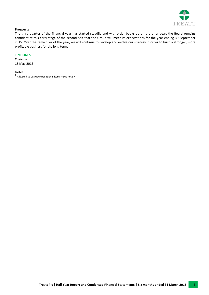

#### **Prospects**

The third quarter of the financial year has started steadily and with order books up on the prior year, the Board remains confident at this early stage of the second half that the Group will meet its expectations for the year ending 30 September 2015. Over the remainder of the year, we will continue to develop and evolve our strategy in order to build a stronger, more profitable business for the long term.

#### **TIM JONES**

Chairman 18 May 2015

Notes:

 $<sup>1</sup>$  Adjusted to exclude exceptional items – see not[e 7](#page-14-0)</sup>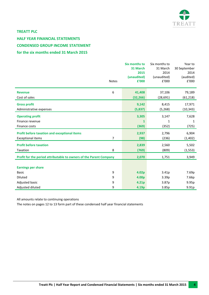

## **TREATT PLC**

## <span id="page-5-0"></span>**HALF YEAR FINANCIAL STATEMENTS CONDENSED GROUP INCOME STATEMENT for the six months ended 31 March 2015**

|                                                                    | <b>Notes</b>     | Six months to<br>31 March<br>2015<br>(unaudited)<br>£'000 | Six months to<br>31 March<br>2014<br>(unaudited)<br>£'000 | Year to<br>30 September<br>2014<br>(audited)<br>£'000 |
|--------------------------------------------------------------------|------------------|-----------------------------------------------------------|-----------------------------------------------------------|-------------------------------------------------------|
| <b>Revenue</b>                                                     | 6                | 41,408                                                    | 37,106                                                    | 79,189                                                |
| Cost of sales                                                      |                  | (32, 266)                                                 | (28, 691)                                                 | (61, 218)                                             |
| <b>Gross profit</b>                                                |                  | 9,142                                                     | 8,415                                                     | 17,971                                                |
| Administrative expenses                                            |                  | (5,837)                                                   | (5, 268)                                                  | (10, 343)                                             |
| <b>Operating profit</b>                                            |                  | 3,305                                                     | 3,147                                                     | 7,628                                                 |
| Finance revenue                                                    |                  | $\mathbf{1}$                                              | $\mathbf{1}$                                              | 1                                                     |
| Finance costs                                                      |                  | (369)                                                     | (352)                                                     | (725)                                                 |
| <b>Profit before taxation and exceptional items</b>                |                  | 2,937                                                     | 2,796                                                     | 6,904                                                 |
| <b>Exceptional items</b>                                           | 7                | (98)                                                      | (236)                                                     | (1, 402)                                              |
| <b>Profit before taxation</b>                                      |                  | 2,839                                                     | 2,560                                                     | 5,502                                                 |
| Taxation                                                           | 8                | (769)                                                     | (809)                                                     | (1, 553)                                              |
| Profit for the period attributable to owners of the Parent Company |                  | 2,070                                                     | 1,751                                                     | 3,949                                                 |
| <b>Earnings per share</b>                                          |                  |                                                           |                                                           |                                                       |
| <b>Basic</b>                                                       | $\boldsymbol{9}$ | 4.02p                                                     | 3.41p                                                     | 7.69p                                                 |
| <b>Diluted</b>                                                     | 9                | 4.00p                                                     | 3.39 <sub>p</sub>                                         | 7.66p                                                 |
| Adjusted basic                                                     | 9                | 4.21p                                                     | 3.87p                                                     | 9.95p                                                 |
| Adjusted diluted                                                   | 9                | 4.19p                                                     | 3.85p                                                     | 9.91p                                                 |

All amounts relate to continuing operations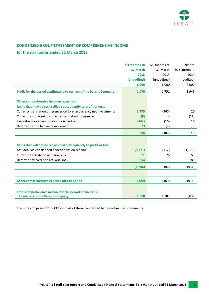

## <span id="page-6-0"></span>**CONDENSED GROUP STATEMENT OF COMPREHENSIVE INCOME**

## **for the six months ended 31 March 2015**

|                                                                      | <b>Six months to</b> | Six months to | Year to      |
|----------------------------------------------------------------------|----------------------|---------------|--------------|
|                                                                      | 31 March             | 31 March      | 30 September |
|                                                                      | 2015                 | 2014          | 2014         |
|                                                                      | (unaudited)          | (unaudited)   | (audited)    |
|                                                                      | £'000                | f'000         | f'000        |
| Profit for the period attributable to owners of the Parent Company   | 2,070                | 1,751         | 3,949        |
| Other comprehensive income/(expense):                                |                      |               |              |
| Items that may be reclassified subsequently to profit or loss:       |                      |               |              |
| Currency translation differences on foreign currency net investments | 1,275                | (367)         | 20           |
| Current tax on foreign currency translation differences              | (8)                  | 3             | (11)         |
| Fair value movement on cash flow hedges                              | (364)                | (16)          | 16           |
| Deferred tax on fair value movement                                  | 73                   | (2)           | (8)          |
|                                                                      | 976                  | (382)         | 17           |
|                                                                      |                      |               |              |
| Items that will not be reclassified subsequently to profit or loss:  |                      |               |              |
| Actuarial loss on defined benefit pension scheme                     | (1, 371)             | (112)         | (1, 170)     |
| Current tax credit on actuarial loss                                 | 21                   | 25            | 51           |
| Deferred tax credit on actuarial loss                                | 254                  |               | 188          |
|                                                                      | (1,096)              | (87)          | (931)        |
|                                                                      |                      |               |              |
| Other comprehensive expense for the period                           | (120)                | (469)         | (914)        |
|                                                                      |                      |               |              |
| Total comprehensive income for the period attributable               |                      |               |              |
| to owners of the Parent Company                                      | 1,950                | 1,282         | 3,035        |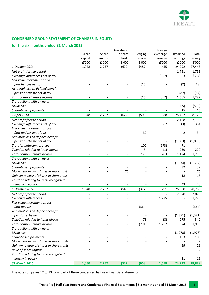

## <span id="page-7-0"></span>**CONDENSED GROUP STATEMENT OF CHANGES IN EQUITY**

## **for the six months ended 31 March 2015**

|                                           |         |         | Own shares     |         | Foreign  |          |                |
|-------------------------------------------|---------|---------|----------------|---------|----------|----------|----------------|
|                                           | Share   | Share   | in share       | Hedging | exchange | Retained | Total          |
|                                           | capital | premium | trusts         | reserve | reserve  | earnings | equity         |
|                                           | E'000   | f'000   | £'000          | £'000   | £'000    | £'000    | $\rm{f}$ '000  |
| 1 October 2013                            | 1,048   | 2,757   | (622)          | (487)   | 455      | 24,292   | 27,443         |
| Net profit for the period                 |         |         |                |         |          | 1,751    | 1,751          |
| Exchange differences net of tax           |         |         |                |         | (367)    | 3        | (364)          |
| Fair value movement on cash               |         |         |                |         |          |          |                |
| flow hedges net of tax                    |         |         |                | (16)    |          | (2)      | (18)           |
| Actuarial loss on defined benefit         |         |         |                |         |          |          |                |
| pension scheme net of tax                 |         |         |                |         |          | (87)     | (87)           |
| Total comprehensive income                |         |         |                | (16)    | (367)    | 1,665    | 1,282          |
| Transactions with owners:                 |         |         |                |         |          |          |                |
| <b>Dividends</b>                          |         |         |                |         |          | (565)    | (565)          |
| Share-based payments                      |         |         |                |         |          | 15       | 15             |
| 1 April 2014                              | 1,048   | 2,757   | (622)          | (503)   | 88       | 25,407   | 28,175         |
| Net profit for the period                 |         |         |                |         |          | 2,198    | 2,198          |
| Exchange differences net of tax           |         |         |                |         | 387      | (3)      | 384            |
| Fair value movement on cash               |         |         |                |         |          |          |                |
| flow hedges net of tax                    |         |         |                | 32      |          | 2        | 34             |
| Actuarial loss on defined benefit         |         |         |                |         |          |          |                |
| pension scheme net of tax                 |         |         |                |         |          | (1,083)  | (1,083)        |
| Transfer between reserves                 |         |         |                | 102     | (173)    | 71       |                |
| Taxation relating to items above          |         |         |                | (8)     | (11)     | 239      | 220            |
| Total comprehensive income                |         |         |                | 126     | 203      | 1,424    | 1,753          |
| Transactions with owners:                 |         |         |                |         |          |          |                |
| <b>Dividends</b>                          |         |         |                |         |          | (1, 334) | (1, 334)       |
| Share-based payments                      |         |         |                |         |          | 32       | 32             |
| Movement in own shares in share trust     |         |         | 73             |         |          |          | 73             |
| Gain on release of shares in share trust  |         |         |                |         |          | 18       | 18             |
| Taxation relating to items recognised     |         |         |                |         |          |          |                |
| directly in equity                        |         |         |                |         |          | 43       | 43             |
| 1 October 2014                            | 1,048   | 2,757   | (549)          | (377)   | 291      | 25,590   | 28,760         |
| Net profit for the period                 |         |         |                |         |          | 2,070    | 2,070          |
| <b>Exchange differences</b>               |         |         |                |         | 1,275    |          | 1,275          |
| Fair value movement on cash               |         |         |                |         |          |          |                |
| flow hedges                               |         |         |                | (364)   |          |          | (364)          |
| Actuarial loss on defined benefit         |         |         |                |         |          |          |                |
| pension scheme                            |         |         |                |         |          | (1, 371) | (1, 371)       |
| Taxation relating to items above          |         |         |                | 73      | (8)      | 275      | 340            |
| Total comprehensive income                |         |         | $\overline{a}$ | (291)   | 1,267    | 974      | 1,950          |
| Transactions with owners:                 |         |         |                |         |          |          |                |
| <b>Dividends</b>                          |         |         |                |         |          | (1,978)  | (1,978)        |
| Share-based payments                      |         |         |                |         |          | 103      | 103            |
| Movement in own shares in share trusts    |         |         | 2              |         |          |          | 2              |
| Gain on release of shares in share trusts |         |         |                |         |          | 29       | 29             |
| Issue of share capital                    | 2       |         |                |         |          |          | $\overline{2}$ |
| Taxation relating to items recognised     |         |         |                |         |          |          |                |
| directly in equity                        |         |         |                |         |          | 11       | 11             |
| 31 March 2015                             | 1,050   | 2,757   | (547)          | (668)   | 1,558    | 24,729   | 28,879         |
|                                           |         |         |                |         |          |          |                |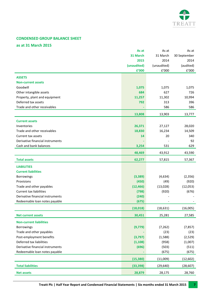

## <span id="page-8-0"></span>**CONDENSED GROUP BALANCE SHEET**

#### **as at 31 March 2015**

|                                  | As at       | As at       | As at        |
|----------------------------------|-------------|-------------|--------------|
|                                  | 31 March    | 31 March    | 30 September |
|                                  | 2015        | 2014        | 2014         |
|                                  | (unaudited) | (unaudited) | (audited)    |
|                                  | £'000       | E'000       | f'000        |
| <b>ASSETS</b>                    |             |             |              |
| <b>Non-current assets</b>        |             |             |              |
| Goodwill                         | 1,075       | 1,075       | 1,075        |
| Other intangible assets          | 684         | 627         | 726          |
| Property, plant and equipment    | 11,257      | 11,302      | 10,994       |
| Deferred tax assets              | 792         | 313         | 396          |
| Trade and other receivables      |             | 586         | 586          |
|                                  | 13,808      | 13,903      | 13,777       |
| <b>Current assets</b>            |             |             |              |
| Inventories                      | 26,371      | 27,127      | 28,020       |
| Trade and other receivables      | 18,830      | 16,234      | 14,509       |
| Current tax assets               | 14          | 20          | 340          |
| Derivative financial instruments |             |             | 92           |
| Cash and bank balances           |             | 531         | 629          |
|                                  | 3,254       |             |              |
|                                  | 48,469      | 43,912      | 43,590       |
| <b>Total assets</b>              | 62,277      | 57,815      | 57,367       |
| <b>LIABILITIES</b>               |             |             |              |
| <b>Current liabilities</b>       |             |             |              |
| <b>Borrowings</b>                | (3, 389)    | (4,634)     | (2, 356)     |
| Provisions                       | (450)       | (49)        | (920)        |
| Trade and other payables         | (12, 466)   | (13,028)    | (12,053)     |
| <b>Current tax liabilities</b>   | (798)       | (920)       | (676)        |
| Derivative financial instruments | (240)       |             |              |
| Redeemable loan notes payable    | (675)       |             |              |
|                                  | (18, 018)   | (18, 631)   | (16,005)     |
| <b>Net current assets</b>        | 30,451      | 25,281      | 27,585       |
|                                  |             |             |              |
| <b>Non-current liabilities</b>   |             |             |              |
| Borrowings                       | (9,779)     | (7, 262)    | (7, 857)     |
| Trade and other payables         |             | (23)        | (23)         |
| Post-employment benefits         | (3,797)     | (1,588)     | (2,529)      |
| Deferred tax liabilities         | (1, 108)    | (958)       | (1,007)      |
| Derivative financial instruments | (696)       | (503)       | (511)        |
| Redeemable loan notes payable    |             | (675)       | (675)        |
|                                  | (15, 380)   | (11,009)    | (12, 602)    |
| <b>Total liabilities</b>         | (33, 398)   | (29, 640)   | (28, 607)    |
| <b>Net assets</b>                | 28,879      | 28,175      | 28,760       |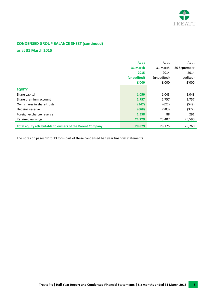

## **CONDENSED GROUP BALANCE SHEET (continued)**

## **as at 31 March 2015**

|                                                           | As at       | As at       | As at        |
|-----------------------------------------------------------|-------------|-------------|--------------|
|                                                           | 31 March    | 31 March    | 30 September |
|                                                           | 2015        | 2014        | 2014         |
|                                                           | (unaudited) | (unaudited) | (audited)    |
|                                                           | £'000       | f'000       | f'000        |
| <b>EQUITY</b>                                             |             |             |              |
| Share capital                                             | 1,050       | 1,048       | 1,048        |
| Share premium account                                     | 2,757       | 2,757       | 2,757        |
| Own shares in share trusts                                | (547)       | (622)       | (549)        |
| Hedging reserve                                           | (668)       | (503)       | (377)        |
| Foreign exchange reserve                                  | 1,558       | 88          | 291          |
| Retained earnings                                         | 24,729      | 25,407      | 25,590       |
| Total equity attributable to owners of the Parent Company | 28,879      | 28,175      | 28,760       |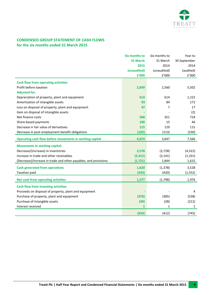

## <span id="page-10-0"></span>**CONDENSED GROUP STATEMENT OF CASH FLOWS for the six months ended 31 March 2015**

|                                                                 | <b>Six months to</b> | Six months to | Year to      |
|-----------------------------------------------------------------|----------------------|---------------|--------------|
|                                                                 | 31 March             | 31 March      | 30 September |
|                                                                 | 2015                 | 2014          | 2014         |
|                                                                 | (unaudited)          | (unaudited)   | (audited)    |
|                                                                 | £'000                | E'000         | f'000        |
| <b>Cash flow from operating activities</b>                      |                      |               |              |
| Profit before taxation                                          | 2,839                | 2,560         | 5,502        |
| <b>Adjusted for:</b>                                            |                      |               |              |
| Depreciation of property, plant and equipment                   | 614                  | 614           | 1,222        |
| Amortisation of intangible assets                               | 93                   | 84            | 172          |
| Loss on disposal of property, plant and equipment               | 47                   | 7             | 17           |
| Gain on disposal of intangible assets                           |                      |               | (2)          |
| Net finance costs                                               | 368                  | 351           | 724          |
| Share-based payments                                            | 100                  | 15            | 46           |
| Decrease in fair value of derivatives                           | 115                  | 129           | 115          |
| Decrease in post-employment benefit obligations                 | (102)                | (113)         | (230)        |
| Operating cash flow before movements in working capital         | 4,074                | 3,647         | 7,566        |
| <b>Movements in working capital:</b>                            |                      |               |              |
| Decrease/(increase) in inventories                              | 2,578                | (3, 728)      | (4, 322)     |
| Increase in trade and other receivables                         | (3, 311)             | (3, 141)      | (1, 331)     |
| (Decrease)/increase in trade and other payables, and provisions | (1, 721)             | 1,844         | 1,615        |
| <b>Cash generated from operations</b>                           | 1,620                | (1, 378)      | 3,528        |
| <b>Taxation paid</b>                                            | (343)                | (420)         | (1, 552)     |
| Net cash from operating activities                              | 1,277                | (1,798)       | 1,976        |
| <b>Cash flow from investing activities</b>                      |                      |               |              |
| Proceeds on disposal of property, plant and equipment           |                      |               | 4            |
| Purchase of property, plant and equipment                       | (376)                | (385)         | (538)        |
| Purchase of intangible assets                                   | (49)                 | (28)          | (212)        |
| Interest received                                               | $\mathbf{1}$         | 1             | $\mathbf{1}$ |
|                                                                 | (424)                | (412)         | (745)        |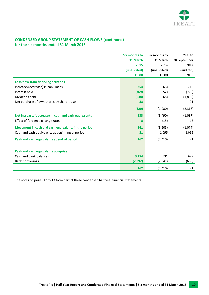

## **CONDENSED GROUP STATEMENT OF CASH FLOWS (continued) for the six months ended 31 March 2015**

|                                                      | <b>Six months to</b> | Six months to | Year to      |
|------------------------------------------------------|----------------------|---------------|--------------|
|                                                      | 31 March             | 31 March      | 30 September |
|                                                      | 2015                 | 2014          | 2014         |
|                                                      | (unaudited)          | (unaudited)   | (audited)    |
|                                                      | £'000                | f'000         | f'000        |
| <b>Cash flow from financing activities</b>           |                      |               |              |
| Increase/(decrease) in bank loans                    | 354                  | (363)         | 215          |
| Interest paid                                        | (369)                | (352)         | (725)        |
| Dividends paid                                       | (638)                | (565)         | (1,899)      |
| Net purchase of own shares by share trusts           | 33                   |               | 91           |
|                                                      | (620)                | (1, 280)      | (2,318)      |
| Net increase/(decrease) in cash and cash equivalents | 233                  | (3, 490)      | (1,087)      |
| Effect of foreign exchange rates                     | 8                    | (15)          | 13           |
| Movement in cash and cash equivalents in the period  | 241                  | (3,505)       | (1,074)      |
| Cash and cash equivalents at beginning of period     | 21                   | 1,095         | 1,095        |
| Cash and cash equivalents at end of period           | 262                  | (2, 410)      | 21           |
|                                                      |                      |               |              |
| <b>Cash and cash equivalents comprise:</b>           |                      |               |              |
| Cash and bank balances                               | 3,254                | 531           | 629          |
| <b>Bank borrowings</b>                               | (2,992)              | (2, 941)      | (608)        |
|                                                      | 262                  | (2, 410)      | 21           |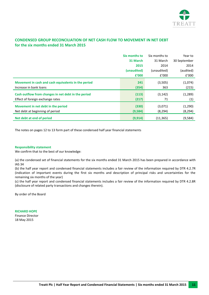

## <span id="page-12-0"></span>**CONDENSED GROUP RECONCILIATION OF NET CASH FLOW TO MOVEMENT IN NET DEBT for the six months ended 31 March 2015**

|                                                     | Six months to | Six months to | Year to      |
|-----------------------------------------------------|---------------|---------------|--------------|
|                                                     | 31 March      | 31 March      | 30 September |
|                                                     | 2015          | 2014          | 2014         |
|                                                     | (unaudited)   | (unaudited)   | (audited)    |
|                                                     | £'000         | E'000         | f'000        |
| Movement in cash and cash equivalents in the period | 241           | (3,505)       | (1,074)      |
| Increase in bank loans                              | (354)         | 363           | (215)        |
| Cash outflow from changes in net debt in the period | (113)         | (3, 142)      | (1, 289)     |
| Effect of foreign exchange rates                    | (217)         | 71            | (1)          |
| Movement in net debt in the period                  | (330)         | (3,071)       | (1,290)      |
| Net debt at beginning of period                     | (9,584)       | (8, 294)      | (8, 294)     |
| Net debt at end of period                           | (9, 914)      | (11, 365)     | (9,584)      |

The notes on page[s 12](#page-13-0) to [13](#page-17-0) form part of these condensed half year financial statements

#### **Responsibility statement**

We confirm that to the best of our knowledge:

(a) the condensed set of financial statements for the six months ended 31 March 2015 has been prepared in accordance with IAS 34

(b) the half year report and condensed financial statements includes a fair review of the information required by DTR 4.2.7R (indication of important events during the first six months and description of principal risks and uncertainties for the remaining six months of the year)

(c) the half year report and condensed financial statements includes a fair review of the information required by DTR 4.2.8R (disclosure of related party transactions and changes therein).

By order of the Board

**RICHARD HOPE** Finance Director 18 May 2015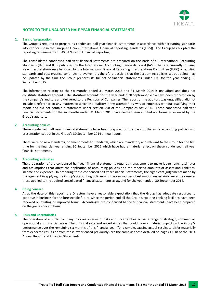

#### <span id="page-13-0"></span>**NOTES TO THE UNAUDITED HALF YEAR FINANCIAL STATEMENTS**

#### **1. Basis of preparation**

The Group is required to prepare its condensed half year financial statements in accordance with accounting standards adopted for use in the European Union (International Financial Reporting Standards (IFRS)). The Group has adopted the reporting requirements of IAS 34 'Interim Financial Reporting'.

The consolidated condensed half year financial statements are prepared on the basis of all International Accounting Standards (IAS) and IFRS published by the International Accounting Standards Board (IASB) that are currently in issue. New interpretations may be issued by the International Financial Reporting Interpretations Committee (IFRIC) on existing standards and best practice continues to evolve. It is therefore possible that the accounting policies set out below may be updated by the time the Group prepares its full set of financial statements under IFRS for the year ending 30 September 2015.

The information relating to the six months ended 31 March 2015 and 31 March 2014 is unaudited and does not constitute statutory accounts. The statutory accounts for the year ended 30 September 2014 have been reported on by the company's auditors and delivered to the Registrar of Companies. The report of the auditors was unqualified, did not include a reference to any matters to which the auditors drew attention by way of emphasis without qualifying their report and did not contain a statement under section 498 of the Companies Act 2006. These condensed half year financial statements for the six months ended 31 March 2015 have neither been audited nor formally reviewed by the Group's auditors.

#### **2. Accounting policies**

These condensed half year financial statements have been prepared on the basis of the same accounting policies and presentation set out in the Group's 30 September 2014 annual report.

There were no new standards, or amendments to standards, which are mandatory and relevant to the Group for the first time for the financial year ending 30 September 2015 which have had a material effect on these condensed half year financial statements.

#### **3. Accounting estimates**

The preparation of the condensed half year financial statements requires management to make judgements, estimates and assumptions that affect the application of accounting policies and the reported amounts of assets and liabilities, income and expenses. In preparing these condensed half year financial statements, the significant judgements made by management in applying the Group's accounting policies and the key sources of estimation uncertainty were the same as those applied to the audited consolidated financial statements as at, and for the year ended, 30 September 2014.

#### **4. Going concern**

As at the date of this report, the Directors have a reasonable expectation that the Group has adequate resources to continue in business for the foreseeable future. Since the period end all the Group's expiring banking facilities have been renewed on existing or improved terms. Accordingly, the condensed half year financial statements have been prepared on the going concern basis.

#### **5. Risks and uncertainties**

The operation of a public company involves a series of risks and uncertainties across a range of strategic, commercial, operational and financial areas. The principal risks and uncertainties that could have a material impact on the Group's performance over the remaining six months of this financial year (for example, causing actual results to differ materially from expected results or from those experienced previously) are the same as those detailed on pages 17-18 of the 2014 Annual Report and Financial Statements.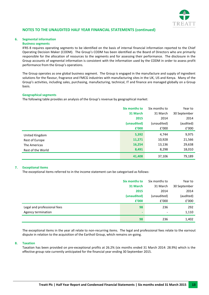

#### <span id="page-14-1"></span>**6. Segmental information**

#### **Business segments**

IFRS 8 requires operating segments to be identified on the basis of internal financial information reported to the Chief Operating Decision Maker (CODM). The Group's CODM has been identified as the Board of Directors who are primarily responsible for the allocation of resources to the segments and for assessing their performance. The disclosure in the Group accounts of segmental information is consistent with the information used by the CODM in order to assess profit performance from the Group's operations.

The Group operates as one global business segment. The Group is engaged in the manufacture and supply of ingredient solutions for the flavour, fragrance and FMCG industries with manufacturing sites in the UK, US and Kenya. Many of the Group's activities, including sales, purchasing, manufacturing, technical, IT and finance are managed globally on a Group basis.

#### **Geographical segments**

The following table provides an analysis of the Group's revenue by geographical market:

|                   | Six months to | Six months to | Year to      |
|-------------------|---------------|---------------|--------------|
|                   | 31 March      | 31 March      | 30 September |
|                   | 2015          | 2014          | 2014         |
|                   | (unaudited)   | (unaudited)   | (audited)    |
|                   | £'000         | f'000         | £'000        |
| United Kingdom    | 5,392         | 4,744         | 9,975        |
| Rest of Europe    | 11,271        | 10,928        | 21,566       |
| The Americas      | 16,254        | 13,136        | 29,638       |
| Rest of the World | 8,491         | 8,298         | 18,010       |
|                   | 41,408        | 37,106        | 79,189       |

#### <span id="page-14-0"></span>**7. Exceptional items**

The exceptional items referred to in the income statement can be categorised as follows:

|                             | Six months to | Six months to            | Year to      |
|-----------------------------|---------------|--------------------------|--------------|
|                             | 31 March      | 31 March                 | 30 September |
|                             | 2015          | 2014                     | 2014         |
|                             | (unaudited)   | (unaudited)              | (audited)    |
|                             | £'000         | f'000                    | £'000        |
| Legal and professional fees | 98            | 236                      | 292          |
| Agency termination          | ۰             | $\overline{\phantom{a}}$ | 1,110        |
|                             | 98            | 236                      | 1,402        |

The exceptional items in the year all relate to non-recurring items. The legal and professional fees relate to the earnout dispute in relation to the acquisition of the Earthoil Group, which remains on-going.

#### <span id="page-14-2"></span>**8. Taxation**

Taxation has been provided on pre-exceptional profits at 26.2% (six months ended 31 March 2014: 28.9%) which is the effective group rate currently anticipated for the financial year ending 30 September 2015.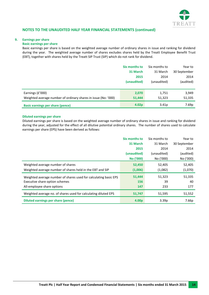

#### <span id="page-15-0"></span>**9. Earnings per share**

#### **Basic earnings per share**

Basic earnings per share is based on the weighted average number of ordinary shares in issue and ranking for dividend during the year. The weighted average number of shares excludes shares held by the Treatt Employee Benefit Trust (EBT), together with shares held by the Treatt SIP Trust (SIP) which do not rank for dividend.

|                                                                | Six months to     | Six months to     | Year to      |
|----------------------------------------------------------------|-------------------|-------------------|--------------|
|                                                                | 31 March          | 31 March          | 30 September |
|                                                                | 2015              | 2014              | 2014         |
|                                                                | (unaudited)       | (unaudited)       | (audited)    |
|                                                                |                   |                   |              |
| Earnings (£'000)                                               | 2,070             | 1,751             | 3,949        |
| Weighted average number of ordinary shares in issue (No: '000) | 51,444            | 51,323            | 51,335       |
| <b>Basic earnings per share (pence)</b>                        | 4.02 <sub>p</sub> | 3.41 <sub>p</sub> | 7.69p        |

#### **Diluted earnings per share**

Diluted earnings per share is based on the weighted average number of ordinary shares in issue and ranking for dividend during the year, adjusted for the effect of all dilutive potential ordinary shares. The number of shares used to calculate earnings per share (EPS) have been derived as follows:

|                                                                  | Six months to     | Six months to     | Year to      |
|------------------------------------------------------------------|-------------------|-------------------|--------------|
|                                                                  | 31 March          | 31 March          | 30 September |
|                                                                  | 2015              | 2014              | 2014         |
|                                                                  | (unaudited)       | (unaudited)       | (audited)    |
|                                                                  | No ('000)         | No ('000)         | No ('000)    |
| Weighted average number of shares                                | 52,450            | 52,405            | 52,405       |
| Weighted average number of shares held in the EBT and SIP        | (1,006)           | (1,082)           | (1,070)      |
| Weighted average number of shares used for calculating basic EPS | 51,444            | 51,323            | 51,335       |
| Executive share option schemes                                   | 156               | 39                | 40           |
| All-employee share options                                       | 147               | 233               | 177          |
| Weighted average no. of shares used for calculating diluted EPS  | 51,747            | 51,595            | 51,552       |
| <b>Diluted earnings per share (pence)</b>                        | 4.00 <sub>p</sub> | 3.39 <sub>p</sub> | 7.66p        |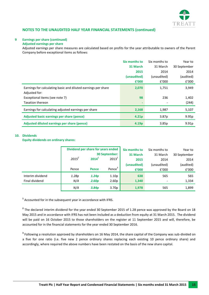

#### **[9](#page-15-0) Earnings per share (continued)**

#### **Adjusted earnings per share**

Adjusted earnings per share measures are calculated based on profits for the year attributable to owners of the Parent Company before exceptional items as follows:

|                                                               | Six months to     | Six months to     | Year to      |
|---------------------------------------------------------------|-------------------|-------------------|--------------|
|                                                               | 31 March          | 31 March          | 30 September |
|                                                               | 2015              | 2014              | 2014         |
|                                                               | (unaudited)       | (unaudited)       | (audited)    |
|                                                               | £'000             | f'000             | f'000        |
| Earnings for calculating basic and diluted earnings per share | 2,070             | 1,751             | 3,949        |
| Adjusted for:                                                 |                   |                   |              |
| Exceptional items (see note 7)                                | 98                | 236               | 1,402        |
| <b>Taxation thereon</b>                                       |                   |                   | (244)        |
| Earnings for calculating adjusted earnings per share          | 2,168             | 1,987             | 5,107        |
| Adjusted basic earnings per share (pence)                     | 4.21 <sub>p</sub> | 3.87 <sub>p</sub> | 9.95p        |
| Adjusted diluted earnings per share (pence)                   | 4.19 <sub>p</sub> | 3.85p             | 9.91p        |

#### **10. Dividends**

#### **Equity dividends on ordinary shares:**

|                  | Dividend per share for years ended<br><b>30 September:</b> |                   |                    | Six months to<br>31 March | Six months to<br>31 March | Year to              |
|------------------|------------------------------------------------------------|-------------------|--------------------|---------------------------|---------------------------|----------------------|
|                  | $2015^2$                                                   | 2014 <sup>1</sup> | $2013^1$           | 2015                      | 2014                      | 30 September<br>2014 |
|                  |                                                            |                   |                    | (unaudited)               | (unaudited)               | (audited)            |
|                  | Pence                                                      | <b>Pence</b>      | Pence <sup>3</sup> | £'000                     | f'000                     | £'000                |
| Interim dividend | 1.28p                                                      | 1.24p             | 1.10p              | 638                       | 565                       | 565                  |
| Final dividend   | N/A                                                        | 2.60 <sub>p</sub> | 2.60p              | 1,340                     |                           | 1,334                |
|                  | N/A                                                        | 3.84 <sub>p</sub> | 3.70 <sub>p</sub>  | 1,978                     | 565                       | 1,899                |

**1** Accounted for in the subsequent year in accordance with IFRS.

**2** The declared interim dividend for the year ended 30 September 2015 of 1.28 pence was approved by the Board on 18 May 2015 and in accordance with IFRS has not been included as a deduction from equity at 31 March 2015. The dividend will be paid on 16 October 2015 to those shareholders on the register at 11 September 2015 and will, therefore, be accounted for in the financial statements for the year ended 30 September 2016.

**3** Following a resolution approved by shareholders on 16 May 2014, the share capital of the Company was sub-divided on a five for one ratio (i.e. five new 2 pence ordinary shares replacing each existing 10 pence ordinary share) and accordingly, where required the above numbers have been restated on the basis of the new share capital.